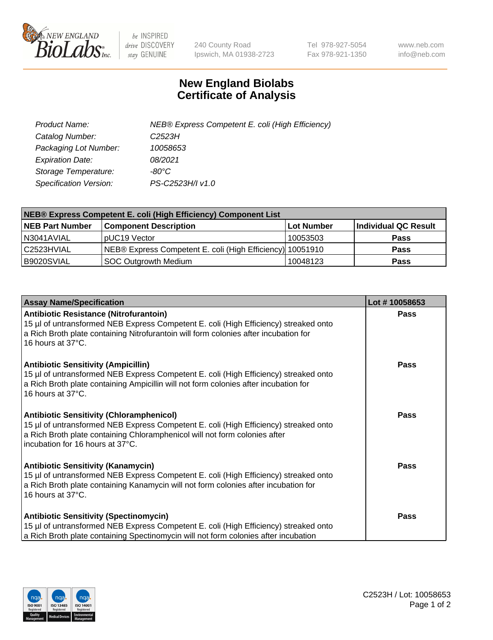

 $be$  INSPIRED drive DISCOVERY stay GENUINE

240 County Road Ipswich, MA 01938-2723 Tel 978-927-5054 Fax 978-921-1350 www.neb.com info@neb.com

## **New England Biolabs Certificate of Analysis**

| Product Name:                 | NEB® Express Competent E. coli (High Efficiency) |
|-------------------------------|--------------------------------------------------|
| Catalog Number:               | C2523H                                           |
| Packaging Lot Number:         | 10058653                                         |
| <b>Expiration Date:</b>       | 08/2021                                          |
| Storage Temperature:          | -80°C                                            |
| <b>Specification Version:</b> | PS-C2523H/I v1.0                                 |

| <b>NEB® Express Competent E. coli (High Efficiency) Component List</b> |                                                           |            |                      |  |
|------------------------------------------------------------------------|-----------------------------------------------------------|------------|----------------------|--|
| <b>NEB Part Number</b>                                                 | <b>Component Description</b>                              | Lot Number | Individual QC Result |  |
| N3041AVIAL                                                             | pUC19 Vector                                              | 10053503   | <b>Pass</b>          |  |
| C <sub>2523</sub> HVIAL                                                | NEB® Express Competent E. coli (High Efficiency) 10051910 |            | <b>Pass</b>          |  |
| B9020SVIAL                                                             | SOC Outgrowth Medium                                      | 10048123   | <b>Pass</b>          |  |

| <b>Assay Name/Specification</b>                                                                                                                                                                                                                           | Lot #10058653 |
|-----------------------------------------------------------------------------------------------------------------------------------------------------------------------------------------------------------------------------------------------------------|---------------|
| <b>Antibiotic Resistance (Nitrofurantoin)</b><br>15 µl of untransformed NEB Express Competent E. coli (High Efficiency) streaked onto<br>a Rich Broth plate containing Nitrofurantoin will form colonies after incubation for<br>16 hours at 37°C.        | Pass          |
| <b>Antibiotic Sensitivity (Ampicillin)</b><br>15 µl of untransformed NEB Express Competent E. coli (High Efficiency) streaked onto<br>a Rich Broth plate containing Ampicillin will not form colonies after incubation for<br>16 hours at 37°C.           | Pass          |
| <b>Antibiotic Sensitivity (Chloramphenicol)</b><br>15 µl of untransformed NEB Express Competent E. coli (High Efficiency) streaked onto<br>a Rich Broth plate containing Chloramphenicol will not form colonies after<br>incubation for 16 hours at 37°C. | Pass          |
| <b>Antibiotic Sensitivity (Kanamycin)</b><br>15 µl of untransformed NEB Express Competent E. coli (High Efficiency) streaked onto<br>a Rich Broth plate containing Kanamycin will not form colonies after incubation for<br>16 hours at 37°C.             | <b>Pass</b>   |
| <b>Antibiotic Sensitivity (Spectinomycin)</b><br>15 µl of untransformed NEB Express Competent E. coli (High Efficiency) streaked onto<br>a Rich Broth plate containing Spectinomycin will not form colonies after incubation                              | <b>Pass</b>   |